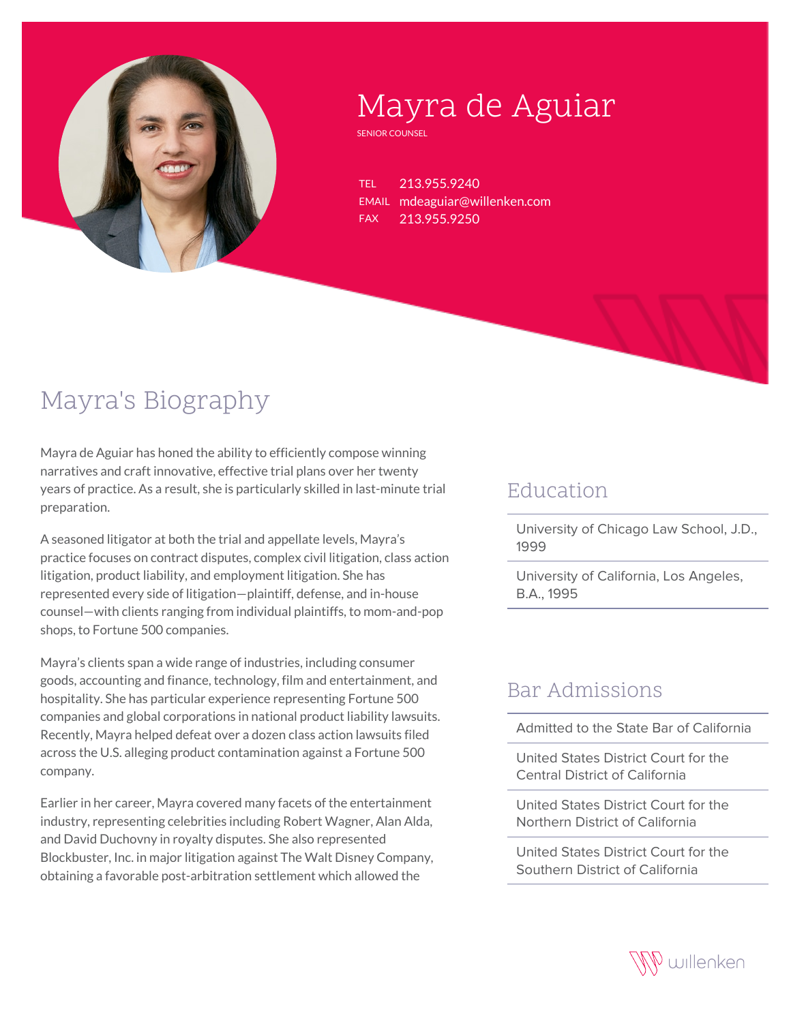

# Mayra de Aguiar

SENIOR COUNSEL

TEL 213.955.9240 EMAIL mdeaguiar@willenken.com FAX 213.955.9250

# Mayra's Biography

Mayra de Aguiar has honed the ability to efficiently compose winning narratives and craft innovative, effective trial plans over her twenty years of practice. As a result, she is particularly skilled in last-minute trial preparation.

A seasoned litigator at both the trial and appellate levels, Mayra's practice focuses on contract disputes, complex civil litigation, class action litigation, product liability, and employment litigation. She has represented every side of litigation—plaintiff, defense, and in-house counsel—with clients ranging from individual plaintiffs, to mom-and-pop shops, to Fortune 500 companies.

Mayra's clients span a wide range of industries, including consumer goods, accounting and finance, technology, film and entertainment, and hospitality. She has particular experience representing Fortune 500 companies and global corporations in national product liability lawsuits. Recently, Mayra helped defeat over a dozen class action lawsuits filed across the U.S. alleging product contamination against a Fortune 500 company.

Earlier in her career, Mayra covered many facets of the entertainment industry, representing celebrities including Robert Wagner, Alan Alda, and David Duchovny in royalty disputes. She also represented Blockbuster, Inc. in major litigation against The Walt Disney Company, obtaining a favorable post-arbitration settlement which allowed the

#### **Education**

University of Chicago Law School, J.D., 1999

University of California, Los Angeles, B.A., 1995

#### Bar Admissions

Admitted to the State Bar of California

United States District Court for the Central District of California

United States District Court for the Northern District of California

United States District Court for the Southern District of California

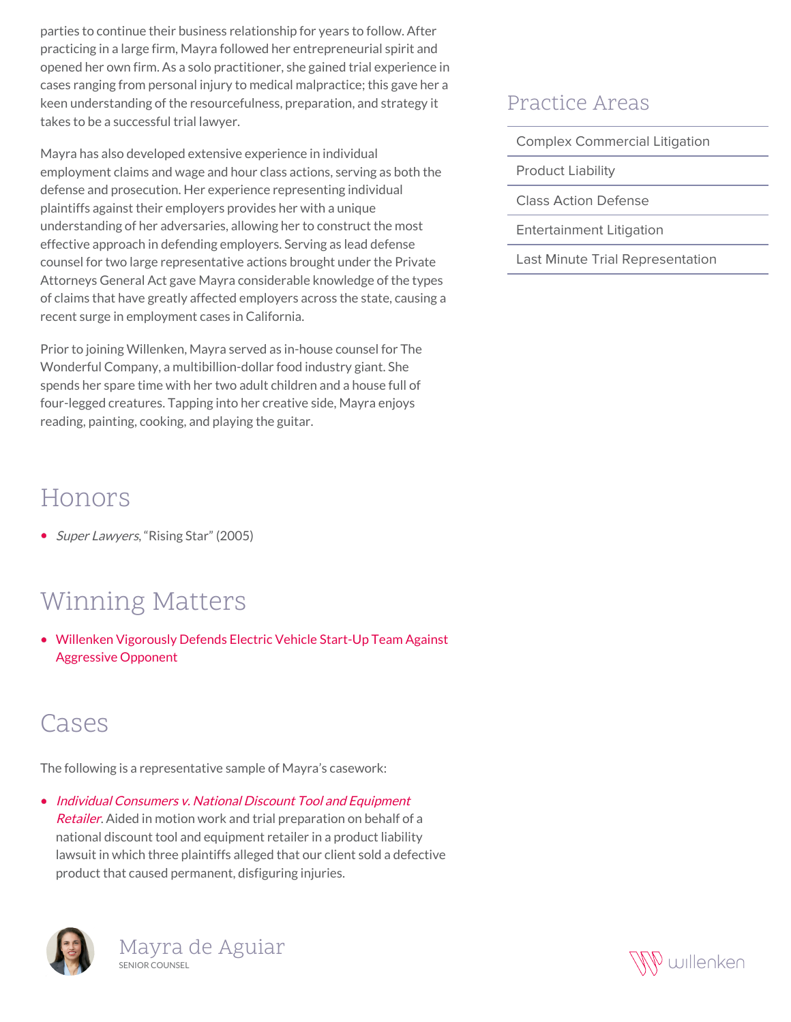parties to continue their business relationship for years to follow. After practicing in a large firm, Mayra followed her entrepreneurial spirit and opened her own firm. As a solo practitioner, she gained trial experience in cases ranging from personal injury to medical malpractice; this gave her a keen understanding of the resourcefulness, preparation, and strategy it takes to be a successful trial lawyer.

Mayra has also developed extensive experience in individual employment claims and wage and hour class actions, serving as both the defense and prosecution. Her experience representing individual plaintiffs against their employers provides her with a unique understanding of her adversaries, allowing her to construct the most effective approach in defending employers. Serving as lead defense counsel for two large representative actions brought under the Private Attorneys General Act gave Mayra considerable knowledge of the types of claims that have greatly affected employers across the state, causing a recent surge in employment cases in California.

Prior to joining Willenken, Mayra served as in-house counsel for The Wonderful Company, a multibillion-dollar food industry giant. She spends her spare time with her two adult children and a house full of four-legged creatures. Tapping into her creative side, Mayra enjoys reading, painting, cooking, and playing the guitar.

### Honors

• Super Lawyers, "Rising Star" (2005)

## Winning Matters

[Willenken Vigorously Defends Electric Vehicle Start-Up Team Against](https://willenken.com/winning-matters/electric-vehicle-start-up-prevails-under-willenkens-vigorous-defense-against-aggressive-opponent/) [Aggressive Opponent](https://willenken.com/winning-matters/electric-vehicle-start-up-prevails-under-willenkens-vigorous-defense-against-aggressive-opponent/)

### Cases

The following is a representative sample of Mayra's casework:

• [Individual Consumers v. National Discount Tool and Equipment](http://willenken.com/cases/individual-consumers-v-national-discount-tool-and-equipment-retailer/) [Retailer](http://willenken.com/cases/individual-consumers-v-national-discount-tool-and-equipment-retailer/). Aided in motion work and trial preparation on behalf of a national discount tool and equipment retailer in a product liability lawsuit in which three plaintiffs alleged that our client sold a defective product that caused permanent, disfiguring injuries.





#### Practice Areas

Complex Commercial Litigation

Product Liability

Class Action Defense

Entertainment Litigation

Last Minute Trial Representation